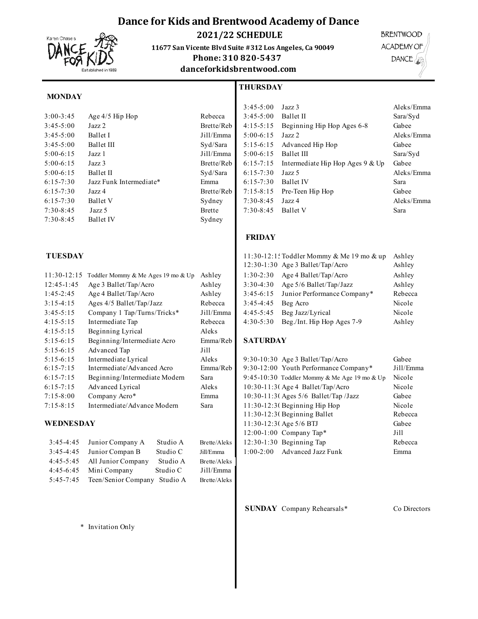# **Dance for Kids and Brentwood Academy of Dance**



 **2021/22 SCHEDULE**

**11677 San Vicente Blvd Suite #312 Los Angeles, Ca 90049** 

**THURSDAY**

# Phone: 310 820-5437

Sydney

**danceforkidsbrentwood.com**

**BRENTWOOD** ACADEMY OF DANCE

## **MONDAY**

| $3:00 - 3:45$ | Age $4/5$ Hip Hop       |
|---------------|-------------------------|
| $3:45-5:00$   | $\rm{Jazz}$ $\rm{2}$    |
| $3:45-5:00$   | Ballet I                |
| $3:45-5:00$   | <b>Ballet III</b>       |
| $5:00-6:15$   | Jazz 1                  |
| $5:00-6:15$   | $\rm{Jazz}$ 3           |
| $5:00-6:15$   | Ballet II               |
| $6:15-7:30$   | Jazz Funk Intermediate* |
| $6:15 - 7:30$ | Jazz 4                  |
| $6:15 - 7:30$ | <b>Ballet V</b>         |
| $7:30-8:45$   | Jazz 5                  |
| $7:30 - 8:45$ | <b>Ballet IV</b>        |

| $11:30-12:15$ | Toddler Mommy & Me Ages 19 mo & Up | Ashley    | $1:30-2:30$     | Age 4 Ballet/Tap/Acro                        | Ashley     |
|---------------|------------------------------------|-----------|-----------------|----------------------------------------------|------------|
| $12:45-1:45$  | Age 3 Ballet/Tap/Acro              | Ashley    | $3:30-4:30$     | Age $5/6$ Ballet/Tap/Jazz                    | Ashley     |
| $1:45-2:45$   | Age 4 Ballet/Tap/Acro              | Ashley    | $3:45-6:15$     | Junior Performance Company*                  | Rebec      |
| $3:15-4:15$   | Ages $4/5$ Ballet/Tap/Jazz         | Rebecca   | $3:45-4:45$     | Beg Acro                                     | Nicole     |
| $3:45-5:15$   | Company 1 Tap/Turns/Tricks*        | Jill/Emma | $4:45-5:45$     | Beg Jazz/Lyrical                             | Nicole     |
| $4:15-5:15$   | Intermediate Tap                   | Rebecca   | $4:30-5:30$     | Beg./Int. Hip Hop Ages 7-9                   | Ashley     |
| $4:15-5:15$   | Beginning Lyrical                  | Aleks     |                 |                                              |            |
| $5:15-6:15$   | Beginning/Intermediate Acro        | Emma/Reb  | <b>SATURDAY</b> |                                              |            |
| $5:15-6:15$   | Advanced Tap                       | Jill      |                 |                                              |            |
| $5:15-6:15$   | Intermediate Lyrical               | Aleks     |                 | $9:30-10:30$ Age 3 Ballet/Tap/Acro           | Gabee      |
| $6:15 - 7:15$ | Intermediate/Advanced Acro         | Emma/Reb  |                 | 9:30-12:00 Youth Performance Company*        | $J_111/En$ |
| $6:15 - 7:15$ | Beginning/Intermediate Modern      | Sara      |                 | 9:45-10:30 Toddler Mommy & Me Age 19 mo & Up | Nicole     |
| $6:15-7:15$   | Advanced Lyrical                   | Aleks     |                 | 10:30-11:30 Age 4 Ballet/Tap/Acro            | Nicole     |
| $7:15 - 8:00$ | Company Acro*                      | Emma      |                 | $10:30-11:3$ (Ages $5/6$ Ballet/Tap /Jazz    | Gabee      |
| $7:15 - 8:15$ | Intermediate/Advance Modern        | Sara      |                 | $11:30-12:3$ Beginning Hip Hop               | Nicole     |
|               |                                    |           |                 |                                              |            |

### **WEDNESDAY**

| $3:45-4:45$   | Junior Company A             | Studio A | Brette/Aleks |
|---------------|------------------------------|----------|--------------|
| $3:45-4:45$   | Junior Compan B              | Studio C | Jill/Emma    |
| $4:45-5:45$   | All Junior Company           | Studio A | Brette/Aleks |
| $4:45-6:45$   | Mini Company                 | Studio C | Jill/Emma    |
| $5:45 - 7:45$ | Teen/Senior Company Studio A |          | Brette/Aleks |

|               |                         |               | $3:45-5:00$   | Jazz 3                             | Aleks/Emma |
|---------------|-------------------------|---------------|---------------|------------------------------------|------------|
| $3:00 - 3:45$ | Age 4/5 Hip Hop         | Rebecca       | $3:45-5:00$   | Ballet II                          | Sara/Syd   |
| $3:45 - 5:00$ | Jazz 2                  | Brette/Reb    | $4:15-5:15$   | Beginning Hip Hop Ages 6-8         | Gabee      |
| $3:45 - 5:00$ | Ballet I                | Jill/Emma     | $5:00-6:15$   | Jazz 2                             | Aleks/Emma |
| $3:45 - 5:00$ | Ballet III              | Syd/Sara      | $5:15-6:15$   | Advanced Hip Hop                   | Gabee      |
| $5:00-6:15$   | Jazz 1                  | Jill/Emma     | $5:00-6:15$   | <b>Ballet III</b>                  | Sara/Syd   |
| $5:00-6:15$   | Jazz 3                  | Brette/Reb    | $6:15 - 7:15$ | Intermediate Hip Hop Ages $9 &$ Up | Gabee      |
| $5:00-6:15$   | Ballet II               | Syd/Sara      | $6:15-7:30$   | Jazz 5                             | Aleks/Emma |
| $6:15 - 7:30$ | Jazz Funk Intermediate* | Emma          | $6:15 - 7:30$ | <b>Ballet IV</b>                   | Sara       |
| $6:15 - 7:30$ | Jazz 4                  | Brette/Reb    | $7:15 - 8:15$ | Pre-Teen Hip Hop                   | Gabee      |
| $6:15 - 7:30$ | Ballet V                | Sydney        | $7:30-8:45$   | Jazz 4                             | Aleks/Emma |
| 7:30-8:45     | Jazz 5                  | <b>Brette</b> | $7:30-8:45$   | <b>Ballet V</b>                    | Sara       |

## **FRIDAY**

| <b>TUESDAY</b> |                                                  |           |             | 11:30-12:1: Toddler Mommy & Me 19 mo & up<br>12:30-1:30 Age 3 Ballet/Tap/Acro | Ashley<br>Ashley |
|----------------|--------------------------------------------------|-----------|-------------|-------------------------------------------------------------------------------|------------------|
|                | $11:30-12:15$ Toddler Mommy & Me Ages 19 mo & Up | Ashley    | $1:30-2:30$ | Age 4 Ballet/Tap/Acro                                                         | Ashley           |
| 12:45-1:45     | Age 3 Ballet/Tap/Acro                            | Ashley    | $3:30-4:30$ | Age $5/6$ Ballet/Tap/Jazz                                                     | Ashley           |
| $1:45-2:45$    | Age 4 Ballet/Tap/Acro                            | Ashley    | $3:45-6:15$ | Junior Performance Company*                                                   | Rebecca          |
| $3:15-4:15$    | Ages 4/5 Ballet/Tap/Jazz                         | Rebecca   | $3:45-4:45$ | Beg Acro                                                                      | Nicole           |
| $3:45-5:15$    | Company 1 Tap/Turns/Tricks*                      | Jill/Emma | $4:45-5:45$ | Beg Jazz/Lyrical                                                              | Nicole           |
| 4:15-5:15      | Intermediate Tap                                 | Rebecca   | $4:30-5:30$ | Beg./Int. Hip Hop Ages 7-9                                                    | Ashley           |

## $a/Reb$  **SATURDAY**

| $5:15-6:15$   | Intermediate Lyrical          |          | Aleks        |             | $9:30-10:30$ Age 3 Ballet/Tap/Acro           | Gabee     |
|---------------|-------------------------------|----------|--------------|-------------|----------------------------------------------|-----------|
| $6:15 - 7:15$ | Intermediate/Advanced Acro    |          | Emma/Reb     |             | 9:30-12:00 Youth Performance Company*        | Jill/Emma |
| $6:15 - 7:15$ | Beginning/Intermediate Modern |          | Sara         |             | 9:45-10:30 Toddler Mommy & Me Age 19 mo & Up | Nicole    |
| $6:15 - 7:15$ | Advanced Lyrical              |          | Aleks        |             | 10:30-11:30 Age 4 Ballet/Tap/Acro            | Nicole    |
| $7:15 - 8:00$ | Company Acro*                 |          | Emma         |             | 10:30-11:30 Ages 5/6 Ballet/Tap /Jazz        | Gabee     |
| $7:15 - 8:15$ | Intermediate/Advance Modern   |          | Sara         |             | $11:30-12:3$ Beginning Hip Hop               | Nicole    |
|               |                               |          |              |             | $11:30-12:3$ Beginning Ballet                | Rebecca   |
| WEDNESDAY     |                               |          |              |             | 11:30-12:30 Age 5/6 BTJ                      | Gabee     |
|               |                               |          |              |             | 12:00-1:00 Company Tap*                      | Ji11      |
| $3:45-4:45$   | Junior Company A              | Studio A | Brette/Aleks |             | $12:30-1:30$ Beginning Tap                   | Rebecca   |
| $3:45-4:45$   | Junior Compan B               | Studio C | Jill/Emma    | $1:00-2:00$ | <b>Advanced Jazz Funk</b>                    | Emma      |
|               |                               |          |              |             |                                              |           |

**SUNDAY** Company Rehearsals\* Co Directors

\* Invitation Only